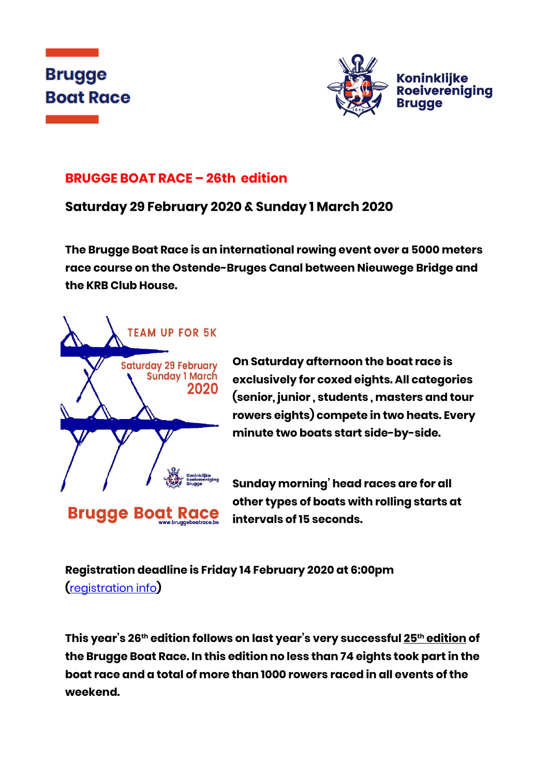



# **BRUGGE BOAT RACE – 26th edition**

# **Saturday 29 February 2020 & Sunday 1 March 2020**

**The Brugge Boat Race is an international rowing event over a 5000 meters race course on the Ostende-Bruges Canal between Nieuwege Bridge and the KRB Club House.**



**On Saturday afternoon the boat race is exclusively for coxed eights. All categories (senior, junior , students , masters and tour rowers eights) compete in two heats. Every minute two boats start side-by-side.**

**Sunday morning' head races are for all other types of boats with rolling starts at intervals of 15 seconds.**

**Registration deadline is Friday 14 February 2020 at 6:00pm (**[registration info](http://176.32.230.251/langerei.be/bruggeboatrace/?page_id=97)**)**

**This year's 26th edition follows on last year's very successful 25th edition of the Brugge Boat Race. In this edition no less than 74 eights took part in the boat race and a total of more than 1000 rowers raced in all events of the weekend.**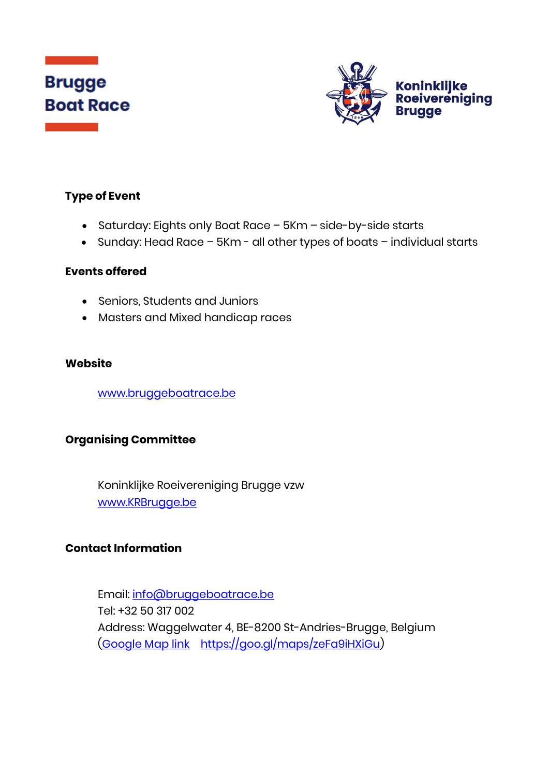# **Brugge Boat Race**



# **Type of Event**

- Saturday: Eights only Boat Race 5Km side-by-side starts
- Sunday: Head Race 5Km all other types of boats individual starts

#### **Events offered**

- Seniors, Students and Juniors
- Masters and Mixed handicap races

## **Website**

[www.bruggeboatrace.be](http://www.bruggeboatrace.be/)

## **Organising Committee**

Koninklijke Roeivereniging Brugge vzw [www.KRBrugge.be](http://www.krbrugge.be/)

# **Contact Information**

Email: [info@bruggeboatrace.be](mailto:info@bruggeboatrace.be) Tel: +32 50 317 002 Address: Waggelwater 4, BE-8200 St-Andries-Brugge, Belgium [\(Google Map](https://goo.gl/maps/zeFa9iHXiGu) link [https://goo.gl/maps/zeFa9iHXiGu\)](https://goo.gl/maps/zeFa9iHXiGu)